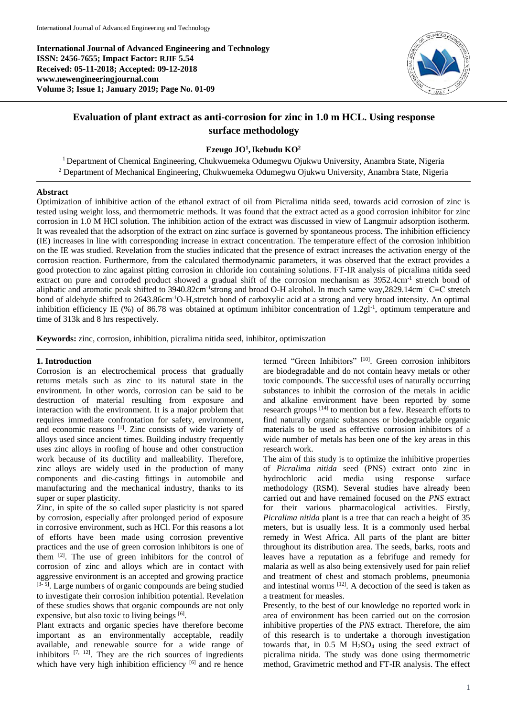**International Journal of Advanced Engineering and Technology ISSN: 2456-7655; Impact Factor: RJIF 5.54 Received: 05-11-2018; Accepted: 09-12-2018 www.newengineeringjournal.com Volume 3; Issue 1; January 2019; Page No. 01-09**



# **Evaluation of plant extract as anti-corrosion for zinc in 1.0 m HCL. Using response surface methodology**

# **Ezeugo JO<sup>1</sup> ,Ikebudu KO<sup>2</sup>**

<sup>1</sup> Department of Chemical Engineering, Chukwuemeka Odumegwu Ojukwu University, Anambra State, Nigeria <sup>2</sup> Department of Mechanical Engineering, Chukwuemeka Odumegwu Ojukwu University, Anambra State, Nigeria

### **Abstract**

Optimization of inhibitive action of the ethanol extract of oil from Picralima nitida seed, towards acid corrosion of zinc is tested using weight loss, and thermometric methods. It was found that the extract acted as a good corrosion inhibitor for zinc corrosion in 1.0 M HCl solution. The inhibition action of the extract was discussed in view of Langmuir adsorption isotherm. It was revealed that the adsorption of the extract on zinc surface is governed by spontaneous process. The inhibition efficiency (IE) increases in line with corresponding increase in extract concentration. The temperature effect of the corrosion inhibition on the IE was studied. Revelation from the studies indicated that the presence of extract increases the activation energy of the corrosion reaction. Furthermore, from the calculated thermodynamic parameters, it was observed that the extract provides a good protection to zinc against pitting corrosion in chloride ion containing solutions. FT-IR analysis of picralima nitida seed extract on pure and corroded product showed a gradual shift of the corrosion mechanism as 3952.4cm<sup>-1</sup> stretch bond of aliphatic and aromatic peak shifted to 3940.82cm<sup>-1</sup>strong and broad O-H alcohol. In much same way,2829.14cm<sup>-1</sup> C≡C stretch bond of aldehyde shifted to 2643.86cm-1O-H,stretch bond of carboxylic acid at a strong and very broad intensity. An optimal inhibition efficiency IE (%) of 86.78 was obtained at optimum inhibitor concentration of 1.2gl<sup>-1</sup>, optimum temperature and time of 313k and 8 hrs respectively.

**Keywords:** zinc, corrosion, inhibition, picralima nitida seed, inhibitor, optimiszation

# **1. Introduction**

Corrosion is an electrochemical process that gradually returns metals such as zinc to its natural state in the environment. In other words, corrosion can be said to be destruction of material resulting from exposure and interaction with the environment. It is a major problem that requires immediate confrontation for safety, environment, and economic reasons [1]. Zinc consists of wide variety of alloys used since ancient times. Building industry frequently uses zinc alloys in roofing of house and other construction work because of its ductility and malleability. Therefore, zinc alloys are widely used in the production of many components and die-casting fittings in automobile and manufacturing and the mechanical industry, thanks to its super or super plasticity.

Zinc, in spite of the so called super plasticity is not spared by corrosion, especially after prolonged period of exposure in corrosive environment, such as HCl. For this reasons a lot of efforts have been made using corrosion preventive practices and the use of green corrosion inhibitors is one of them <sup>[2]</sup>. The use of green inhibitors for the control of corrosion of zinc and alloys which are in contact with aggressive environment is an accepted and growing practice [3-5]. Large numbers of organic compounds are being studied to investigate their corrosion inhibition potential. Revelation of these studies shows that organic compounds are not only expensive, but also toxic to living beings [6].

Plant extracts and organic species have therefore become important as an environmentally acceptable, readily available, and renewable source for a wide range of inhibitors  $[7, 12]$ . They are the rich sources of ingredients which have very high inhibition efficiency [6] and re hence termed "Green Inhibitors" [10]. Green corrosion inhibitors are biodegradable and do not contain heavy metals or other toxic compounds. The successful uses of naturally occurring substances to inhibit the corrosion of the metals in acidic and alkaline environment have been reported by some research groups <sup>[14]</sup> to mention but a few. Research efforts to find naturally organic substances or biodegradable organic materials to be used as effective corrosion inhibitors of a wide number of metals has been one of the key areas in this research work.

The aim of this study is to optimize the inhibitive properties of *Picralima nitida* seed (PNS) extract onto zinc in hydrochloric acid media using response surface methodology (RSM). Several studies have already been carried out and have remained focused on the *PNS* extract for their various pharmacological activities. Firstly, *Picralima nitida* plant is a tree that can reach a height of 35 meters, but is usually less. It is a commonly used herbal remedy in West Africa. All parts of the plant are bitter throughout its distribution area. The seeds, barks, roots and leaves have a reputation as a febrifuge and remedy for malaria as well as also being extensively used for pain relief and treatment of chest and stomach problems, pneumonia and intestinal worms [12]. A decoction of the seed is taken as a treatment for measles.

Presently, to the best of our knowledge no reported work in area of environment has been carried out on the corrosion inhibitive properties of the *PNS* extract. Therefore, the aim of this research is to undertake a thorough investigation towards that, in  $0.5$  M  $H<sub>2</sub>SO<sub>4</sub>$  using the seed extract of picralima nitida. The study was done using thermometric method, Gravimetric method and FT-IR analysis. The effect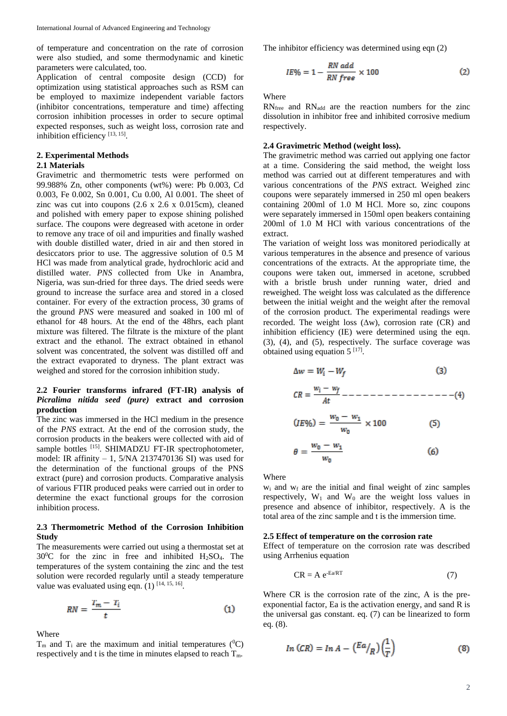of temperature and concentration on the rate of corrosion were also studied, and some thermodynamic and kinetic parameters were calculated, too.

Application of central composite design (CCD) for optimization using statistical approaches such as RSM can be employed to maximize independent variable factors (inhibitor concentrations, temperature and time) affecting corrosion inhibition processes in order to secure optimal expected responses, such as weight loss, corrosion rate and inhibition efficiency [13, 15].

# **2. Experimental Methods**

# **2.1 Materials**

Gravimetric and thermometric tests were performed on 99.988% Zn, other components (wt%) were: Pb 0.003, Cd 0.003, Fe 0.002, Sn 0.001, Cu 0.00, Al 0.001. The sheet of zinc was cut into coupons (2.6 x 2.6 x 0.015cm), cleaned and polished with emery paper to expose shining polished surface. The coupons were degreased with acetone in order to remove any trace of oil and impurities and finally washed with double distilled water, dried in air and then stored in desiccators prior to use. The aggressive solution of 0.5 M HCl was made from analytical grade, hydrochloric acid and distilled water. *PNS* collected from Uke in Anambra, Nigeria, was sun-dried for three days. The dried seeds were ground to increase the surface area and stored in a closed container. For every of the extraction process, 30 grams of the ground *PNS* were measured and soaked in 100 ml of ethanol for 48 hours. At the end of the 48hrs, each plant mixture was filtered. The filtrate is the mixture of the plant extract and the ethanol. The extract obtained in ethanol solvent was concentrated, the solvent was distilled off and the extract evaporated to dryness. The plant extract was weighed and stored for the corrosion inhibition study.

## **2.2 Fourier transforms infrared (FT-IR) analysis of**  *Picralima nitida seed (pure)* **extract and corrosion production**

The zinc was immersed in the HCl medium in the presence of the *PNS* extract. At the end of the corrosion study, the corrosion products in the beakers were collected with aid of sample bottles <sup>[15]</sup>. SHIMADZU FT-IR spectrophotometer, model: IR affinity – 1, 5/NA 2137470136 SI) was used for the determination of the functional groups of the PNS extract (pure) and corrosion products. Comparative analysis of various FTIR produced peaks were carried out in order to determine the exact functional groups for the corrosion inhibition process.

# **2.3 Thermometric Method of the Corrosion Inhibition Study**

The measurements were carried out using a thermostat set at  $30^{\circ}$ C for the zinc in free and inhibited H<sub>2</sub>SO<sub>4</sub>. The temperatures of the system containing the zinc and the test solution were recorded regularly until a steady temperature value was evaluated using eqn.  $(1)$  [14, 15, 16].

$$
RN = \frac{T_m - T_i}{t} \tag{1}
$$

Where

 $T_m$  and  $T_i$  are the maximum and initial temperatures ( ${}^0C$ ) respectively and t is the time in minutes elapsed to reach  $T_m$ .

The inhibitor efficiency was determined using eqn (2)

$$
IE\% = 1 - \frac{RN \text{ add}}{RN \text{ free}} \times 100 \tag{2}
$$

Where

 $RN_{\text{free}}$  and  $RN_{\text{add}}$  are the reaction numbers for the zinc dissolution in inhibitor free and inhibited corrosive medium respectively.

# **2.4 Gravimetric Method (weight loss).**

The gravimetric method was carried out applying one factor at a time. Considering the said method, the weight loss method was carried out at different temperatures and with various concentrations of the *PNS* extract. Weighed zinc coupons were separately immersed in 250 ml open beakers containing 200ml of 1.0 M HCl. More so, zinc coupons were separately immersed in 150ml open beakers containing 200ml of 1.0 M HCl with various concentrations of the extract.

The variation of weight loss was monitored periodically at various temperatures in the absence and presence of various concentrations of the extracts. At the appropriate time, the coupons were taken out, immersed in acetone, scrubbed with a bristle brush under running water, dried and reweighed. The weight loss was calculated as the difference between the initial weight and the weight after the removal of the corrosion product. The experimental readings were recorded. The weight loss  $(\Delta w)$ , corrosion rate (CR) and inhibition efficiency (IE) were determined using the eqn. (3), (4), and (5), respectively. The surface coverage was obtained using equation  $5^{[17]}$ .

Where

 $w_i$  and  $w_f$  are the initial and final weight of zinc samples respectively,  $W_1$  and  $W_0$  are the weight loss values in presence and absence of inhibitor, respectively. A is the total area of the zinc sample and t is the immersion time.

#### **2.5 Effect of temperature on the corrosion rate**

Effect of temperature on the corrosion rate was described using Arrhenius equation

$$
CR = A e^{-Ea/RT}
$$
 (7)

Where CR is the corrosion rate of the zinc, A is the preexponential factor, Ea is the activation energy, and sand R is the universal gas constant. eq. (7) can be linearized to form eq. (8).

$$
In (CR) = In A - \left(\frac{Ea}{R}\right)\left(\frac{1}{T}\right) \tag{8}
$$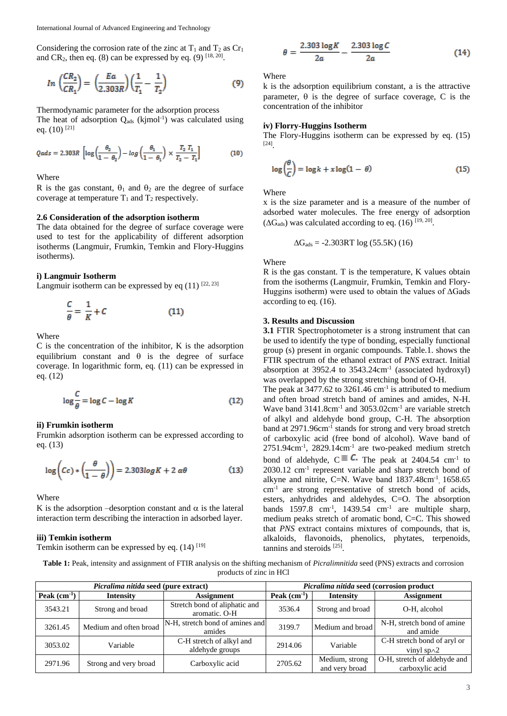Considering the corrosion rate of the zinc at  $T_1$  and  $T_2$  as  $Cr_1$ and CR<sub>2</sub>, then eq. (8) can be expressed by eq. (9)  $^{[18, 20]}$ .

$$
In\left(\frac{CR_2}{CR_1}\right) = \left(\frac{Ea}{2.303R}\right)\left(\frac{1}{T_1} - \frac{1}{T_2}\right) \tag{9}
$$

Thermodynamic parameter for the adsorption process

The heat of adsorption  $Q_{ads}$  (kjmol<sup>-1</sup>) was calculated using eq.  $(10)$ <sup>[21]</sup>

$$
Qads = 2.303R \left[ \log \left( \frac{\theta_2}{1 - \theta_2} \right) - \log \left( \frac{\theta_1}{1 - \theta_1} \right) \times \frac{T_2 T_1}{T_2 - T_1} \right] \tag{10}
$$

Where

R is the gas constant,  $\theta_1$  and  $\theta_2$  are the degree of surface coverage at temperature  $T_1$  and  $T_2$  respectively.

#### **2.6 Consideration of the adsorption isotherm**

The data obtained for the degree of surface coverage were used to test for the applicability of different adsorption isotherms (Langmuir, Frumkin, Temkin and Flory-Huggins isotherms).

#### **i) Langmuir Isotherm**

Langmuir isotherm can be expressed by eq  $(11)$  [22, 23]

$$
\frac{C}{\theta} = \frac{1}{K} + C \tag{11}
$$

Where

C is the concentration of the inhibitor, K is the adsorption equilibrium constant and  $\theta$  is the degree of surface coverage. In logarithmic form, eq. (11) can be expressed in eq. (12)

$$
\log \frac{C}{\theta} = \log C - \log K \tag{12}
$$

#### **ii) Frumkin isotherm**

Frumkin adsorption isotherm can be expressed according to eq. (13)

$$
\log\left(Cc\right) * \left(\frac{\theta}{1-\theta}\right)\right) = 2.303 \log K + 2 \alpha\theta \tag{13}
$$

Where

K is the adsorption –desorption constant and  $\alpha$  is the lateral interaction term describing the interaction in adsorbed layer.

# **iii) Temkin isotherm**

Temkin isotherm can be expressed by eq.  $(14)$  [19]

$$
\theta = \frac{2.303 \log K}{2a} - \frac{2.303 \log C}{2a}
$$
 (14)

**Where** 

k is the adsorption equilibrium constant, a is the attractive parameter,  $\theta$  is the degree of surface coverage, C is the concentration of the inhibitor

#### **iv) Florry-Huggins Isotherm**

The Flory-Huggins isotherm can be expressed by eq. (15) [24] .

$$
\log\left(\frac{\theta}{C}\right) = \log k + x \log(1 - \theta) \tag{15}
$$

**Where** 

x is the size parameter and is a measure of the number of adsorbed water molecules. The free energy of adsorption  $(\Delta G_{ads})$  was calculated according to eq. (16) [19, 20].

$$
\Delta G_{ads} = -2.303RT \log (55.5K) (16)
$$

Where

R is the gas constant. T is the temperature, K values obtain from the isotherms (Langmuir, Frumkin, Temkin and Flory-Huggins isotherm) were used to obtain the values of ∆Gads according to eq. (16).

#### **3. Results and Discussion**

**3.1** FTIR Spectrophotometer is a strong instrument that can be used to identify the type of bonding, especially functional group (s) present in organic compounds. Table.1. shows the FTIR spectrum of the ethanol extract of *PNS* extract. Initial absorption at 3952.4 to 3543.24cm<sup>-1</sup> (associated hydroxyl) was overlapped by the strong stretching bond of O-H.

The peak at  $3477.62$  to  $3261.46$  cm<sup>-1</sup> is attributed to medium and often broad stretch band of amines and amides, N-H. Wave band 3141.8cm<sup>-1</sup> and 3053.02cm<sup>-1</sup> are variable stretch of alkyl and aldehyde bond group, C-H. The absorption band at 2971.96cm<sup>-1</sup> stands for strong and very broad stretch of carboxylic acid (free bond of alcohol). Wave band of 2751.94cm-1 , 2829.14cm-1 are two-peaked medium stretch bond of aldehyde,  $C \equiv C$ . The peak at 2404.54 cm<sup>-1</sup> to 2030.12 cm-1 represent variable and sharp stretch bond of alkyne and nitrite, C=N. Wave band  $1837.48 \text{cm}^{-1}$ ,  $1658.65$ cm-1 are strong representative of stretch bond of acids, esters, anhydrides and aldehydes, C=O. The absorption bands  $1597.8$  cm<sup>-1</sup>,  $1439.54$  cm<sup>-1</sup> are multiple sharp, medium peaks stretch of aromatic bond, C=C. This showed that *PNS* extract contains mixtures of compounds, that is, alkaloids, flavonoids, phenolics, phytates, terpenoids, tannins and steroids [25] .

**Table 1:** Peak, intensity and assignment of FTIR analysis on the shifting mechanism of *Picralimnitida* seed (PNS) extracts and corrosion products of zinc in HCl

|                                   | <i>Picralima nitida seed (pure extract)</i> |                                                | Picralima nitida seed (corrosion product |                                  |                                                    |  |
|-----------------------------------|---------------------------------------------|------------------------------------------------|------------------------------------------|----------------------------------|----------------------------------------------------|--|
| Peak $(cm-1)$<br><b>Intensity</b> |                                             | <b>Assignment</b>                              | Peak $(cm^{-1})$                         | <b>Intensity</b>                 | <b>Assignment</b>                                  |  |
| 3543.21                           | Strong and broad                            | Stretch bond of aliphatic and<br>aromatic. O-H | 3536.4                                   | Strong and broad                 | O-H, alcohol                                       |  |
| 3261.45                           | Medium and often broad                      | N-H, stretch bond of amines and<br>amides      | 3199.7                                   | Medium and broad                 | N-H, stretch bond of amine<br>and amide            |  |
| 3053.02                           | Variable                                    | C-H stretch of alkyl and<br>aldehyde groups    | 2914.06                                  | Variable                         | C-H stretch bond of aryl or<br>vinyl sp $\wedge$ 2 |  |
| 2971.96                           | Strong and very broad                       | Carboxylic acid                                | 2705.62                                  | Medium, strong<br>and very broad | O-H, stretch of aldehyde and<br>carboxylic acid    |  |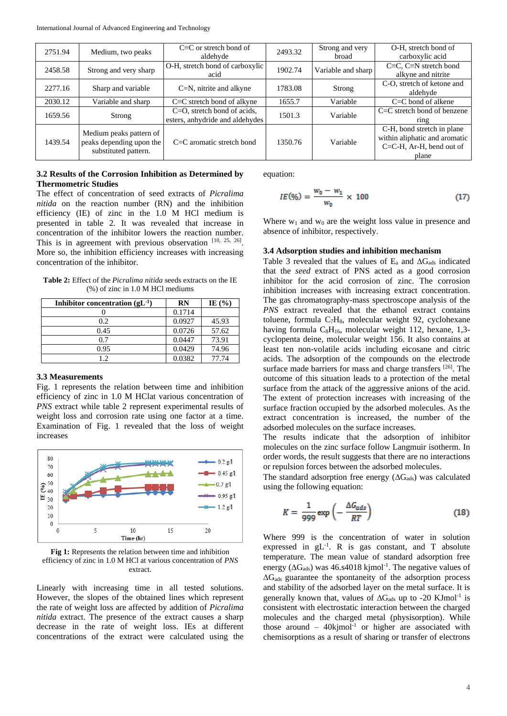| 2751.94 | Medium, two peaks                                                           | $C\equiv C$ or stretch bond of<br>aldehyde                        | 2493.32 | Strong and very<br><b>broad</b> | O-H, stretch bond of<br>carboxylic acid                                                             |
|---------|-----------------------------------------------------------------------------|-------------------------------------------------------------------|---------|---------------------------------|-----------------------------------------------------------------------------------------------------|
| 2458.58 | Strong and very sharp                                                       | O-H, stretch bond of carboxylic<br>acid                           | 1902.74 | Variable and sharp              | $C\equiv C$ , $C\equiv N$ stretch bond<br>alkyne and nitrite                                        |
| 2277.16 | Sharp and variable                                                          | $C=N$ , nitrite and alkyne                                        | 1783.08 | Strong                          | C-O, stretch of ketone and<br>aldehyde                                                              |
| 2030.12 | Variable and sharp                                                          | $C \equiv C$ stretch bond of alkyne                               | 1655.7  | Variable                        | $C = C$ bond of alkene                                                                              |
| 1659.56 | Strong                                                                      | $C=O$ , stretch bond of acids,<br>esters, anhydride and aldehydes | 1501.3  | Variable                        | $C=C$ stretch bond of benzene<br>$r$ ing                                                            |
| 1439.54 | Medium peaks pattern of<br>peaks depending upon the<br>substituted pattern. | $C=C$ aromatic stretch bond                                       | 1350.76 | Variable                        | C-H, bond stretch in plane<br>within aliphatic and aromatic<br>$C=C-H$ , Ar-H, bend out of<br>plane |

# **3.2 Results of the Corrosion Inhibition as Determined by Thermometric Studies**

The effect of concentration of seed extracts of *Picralima nitida* on the reaction number (RN) and the inhibition efficiency (IE) of zinc in the 1.0 M HCl medium is presented in table 2. It was revealed that increase in concentration of the inhibitor lowers the reaction number. This is in agreement with previous observation  $[10, 25, 26]$ . More so, the inhibition efficiency increases with increasing concentration of the inhibitor.

**Table 2:** Effect of the *Picralima nitida* seeds extracts on the IE (%) of zinc in 1.0 M HCl mediums

| Inhibitor concentration $(gL^{-1})$ | <b>RN</b> | IE $(\% )$ |
|-------------------------------------|-----------|------------|
|                                     | 0.1714    |            |
| 0.2                                 | 0.0927    | 45.93      |
| 0.45                                | 0.0726    | 57.62      |
| 0.7                                 | 0.0447    | 73.91      |
| 0.95                                | 0.0429    | 74.96      |
| 1.2.                                | 0.0382    | 77.74      |

# **3.3 Measurements**

Fig. 1 represents the relation between time and inhibition efficiency of zinc in 1.0 M HClat various concentration of *PNS* extract while table 2 represent experimental results of weight loss and corrosion rate using one factor at a time. Examination of Fig. 1 revealed that the loss of weight increases



**Fig 1:** Represents the relation between time and inhibition efficiency of zinc in 1.0 M HCl at various concentration of *PNS*  extract.

Linearly with increasing time in all tested solutions. However, the slopes of the obtained lines which represent the rate of weight loss are affected by addition of *Picralima nitida* extract. The presence of the extract causes a sharp decrease in the rate of weight loss. IEs at different concentrations of the extract were calculated using the equation:

$$
IE(\%) = \frac{w_0 - w_1}{w_0} \times 100 \tag{17}
$$

Where  $w_1$  and  $w_0$  are the weight loss value in presence and absence of inhibitor, respectively.

# **3.4 Adsorption studies and inhibition mechanism**

Table 3 revealed that the values of  $E_a$  and  $\Delta G_{ads}$  indicated that the *seed* extract of PNS acted as a good corrosion inhibitor for the acid corrosion of zinc. The corrosion inhibition increases with increasing extract concentration. The gas chromatography-mass spectroscope analysis of the *PNS* extract revealed that the ethanol extract contains toluene, formula  $C_7H_8$ , molecular weight 92, cyclohexane having formula  $C_8H_{16}$ , molecular weight 112, hexane, 1,3cyclopenta deine, molecular weight 156. It also contains at least ten non-volatile acids including eicosane and citric acids. The adsorption of the compounds on the electrode surface made barriers for mass and charge transfers <sup>[26]</sup>. The outcome of this situation leads to a protection of the metal surface from the attack of the aggressive anions of the acid. The extent of protection increases with increasing of the surface fraction occupied by the adsorbed molecules. As the extract concentration is increased, the number of the adsorbed molecules on the surface increases.

The results indicate that the adsorption of inhibitor molecules on the zinc surface follow Langmuir isotherm. In order words, the result suggests that there are no interactions or repulsion forces between the adsorbed molecules.

The standard adsorption free energy  $(\Delta G_{ads})$  was calculated using the following equation:

$$
K = \frac{1}{999} \exp\left(-\frac{\Delta G_{ads}}{RT}\right) \tag{18}
$$

Where 999 is the concentration of water in solution expressed in  $gL^{-1}$ . R is gas constant, and T absolute temperature. The mean value of standard adsorption free energy ( $\Delta G_{ads}$ ) was 46.s4018 kjmol<sup>-1</sup>. The negative values of  $\Delta G_{ads}$  guarantee the spontaneity of the adsorption process and stability of the adsorbed layer on the metal surface. It is generally known that, values of  $\Delta G_{ads}$  up to -20 KJmol<sup>-1</sup> is consistent with electrostatic interaction between the charged molecules and the charged metal (physisorption). While those around  $-40$ kjmol<sup>-1</sup> or higher are associated with chemisorptions as a result of sharing or transfer of electrons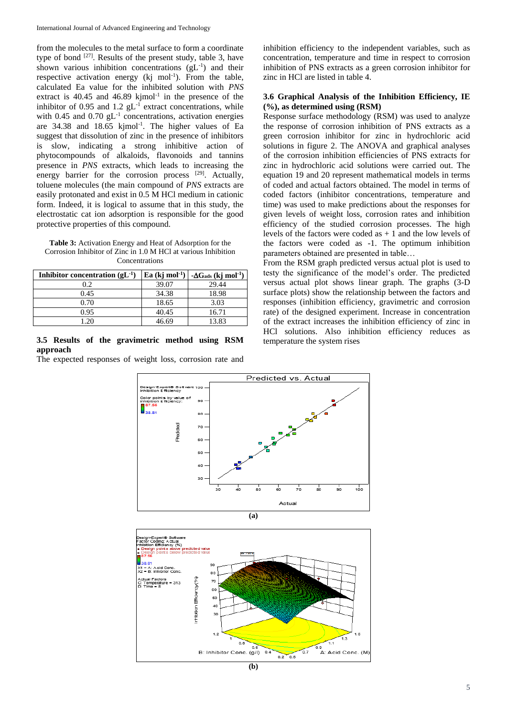from the molecules to the metal surface to form a coordinate type of bond  $[27]$ . Results of the present study, table 3, have shown various inhibition concentrations  $(gL^{-1})$  and their respective activation energy  $(kj \text{ mol}^{-1})$ . From the table, calculated Ea value for the inhibited solution with *PNS* extract is  $40.45$  and  $46.89$  kjmol<sup>-1</sup> in the presence of the inhibitor of 0.95 and  $1.2$   $gL^{-1}$  extract concentrations, while with  $0.45$  and  $0.70$   $gL^{-1}$  concentrations, activation energies are  $34.38$  and  $18.65$  kjmol<sup>-1</sup>. The higher values of Ea suggest that dissolution of zinc in the presence of inhibitors is slow, indicating a strong inhibitive action of phytocompounds of alkaloids, flavonoids and tannins presence in *PNS* extracts, which leads to increasing the energy barrier for the corrosion process [29]. Actually, toluene molecules (the main compound of *PNS* extracts are easily protonated and exist in 0.5 M HCl medium in cationic form. Indeed, it is logical to assume that in this study, the electrostatic cat ion adsorption is responsible for the good protective properties of this compound.

**Table 3:** Activation Energy and Heat of Adsorption for the Corrosion Inhibitor of Zinc in 1.0 M HCl at various Inhibition Concentrations

| Inhibitor concentration $(gL^{-1})$ | Ea $(kj \text{ mol}^{-1})$ | $-\Delta G_{ads}$ (kj mol <sup>-1</sup> ) |
|-------------------------------------|----------------------------|-------------------------------------------|
| 0.2                                 | 39.07                      | 29.44                                     |
| 0.45                                | 34.38                      | 18.98                                     |
| 0.70                                | 18.65                      | 3.03                                      |
| 0.95                                | 40.45                      | 16.71                                     |
|                                     | 46.69                      | 13.83                                     |

## **3.5 Results of the gravimetric method using RSM approach**

The expected responses of weight loss, corrosion rate and

inhibition efficiency to the independent variables, such as concentration, temperature and time in respect to corrosion inhibition of PNS extracts as a green corrosion inhibitor for zinc in HCl are listed in table 4.

# **3.6 Graphical Analysis of the Inhibition Efficiency, IE (%), as determined using (RSM)**

Response surface methodology (RSM) was used to analyze the response of corrosion inhibition of PNS extracts as a green corrosion inhibitor for zinc in hydrochloric acid solutions in figure 2. The ANOVA and graphical analyses of the corrosion inhibition efficiencies of PNS extracts for zinc in hydrochloric acid solutions were carried out. The equation 19 and 20 represent mathematical models in terms of coded and actual factors obtained. The model in terms of coded factors (inhibitor concentrations, temperature and time) was used to make predictions about the responses for given levels of weight loss, corrosion rates and inhibition efficiency of the studied corrosion processes. The high levels of the factors were coded as  $+1$  and the low levels of the factors were coded as -1. The optimum inhibition parameters obtained are presented in table…

From the RSM graph predicted versus actual plot is used to testy the significance of the model's order. The predicted versus actual plot shows linear graph. The graphs (3-D surface plots) show the relationship between the factors and responses (inhibition efficiency, gravimetric and corrosion rate) of the designed experiment. Increase in concentration of the extract increases the inhibition efficiency of zinc in HCl solutions. Also inhibition efficiency reduces as temperature the system rises





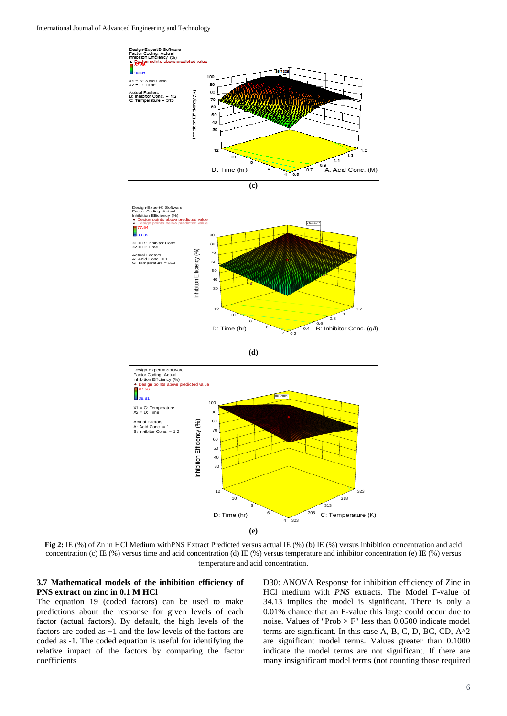







**Fig 2:** IE (%) of Zn in HCl Medium withPNS Extract Predicted versus actual IE (%) (b) IE (%) versus inhibition concentration and acid concentration (c) IE (%) versus time and acid concentration (d) IE (%) versus temperature and inhibitor concentration (e) IE (%) versus temperature and acid concentration.

# **3.7 Mathematical models of the inhibition efficiency of PNS extract on zinc in 0.1 M HCl**

The equation 19 (coded factors) can be used to make predictions about the response for given levels of each factor (actual factors). By default, the high levels of the factors are coded as +1 and the low levels of the factors are coded as -1. The coded equation is useful for identifying the relative impact of the factors by comparing the factor coefficients

D30: ANOVA Response for inhibition efficiency of Zinc in HCl medium with *PNS* extracts. The Model F-value of 34.13 implies the model is significant. There is only a 0.01% chance that an F-value this large could occur due to noise. Values of "Prob > F" less than 0.0500 indicate model terms are significant. In this case A, B, C, D, BC, CD, A^2 are significant model terms. Values greater than 0.1000 indicate the model terms are not significant. If there are many insignificant model terms (not counting those required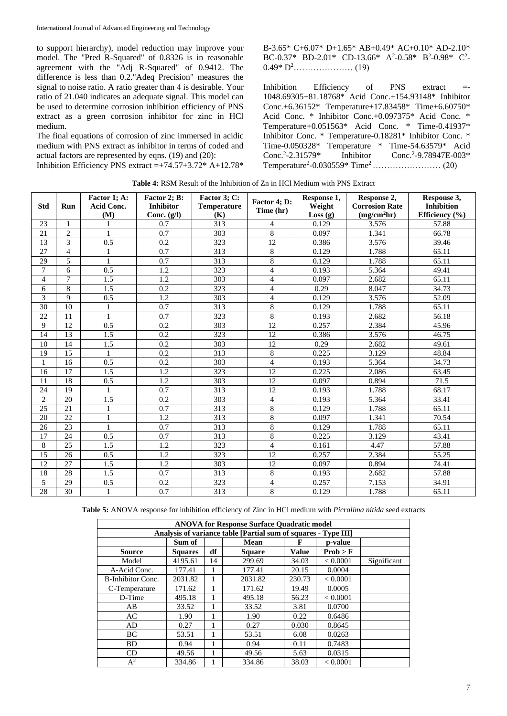to support hierarchy), model reduction may improve your model. The "Pred R-Squared" of 0.8326 is in reasonable agreement with the "Adj R-Squared" of 0.9412. The difference is less than 0.2."Adeq Precision" measures the signal to noise ratio. A ratio greater than 4 is desirable. Your ratio of 21.040 indicates an adequate signal. This model can be used to determine corrosion inhibition efficiency of PNS extract as a green corrosion inhibitor for zinc in HCl medium.

The final equations of corrosion of zinc immersed in acidic medium with PNS extract as inhibitor in terms of coded and actual factors are represented by eqns. (19) and (20):

Inhibition Efficiency PNS extract  $=+74.57+3.72*$  A+12.78\*

B-3.65\* C+6.07\* D+1.65\* AB+0.49\* AC+0.10\* AD-2.10\* BC-0.37\* BD-2.01\* CD-13.66\*  $A^2$ -0.58\* B<sup>2</sup>-0.98\* C<sup>2</sup>-0.49\* D<sup>2</sup>………………… (19)

Inhibition Efficiency of PNS extract =-1048.69305+81.18768\* Acid Conc.+154.93148\* Inhibitor Conc.+6.36152\* Temperature+17.83458\* Time+6.60750\* Acid Conc. \* Inhibitor Conc.+0.097375\* Acid Conc. \* Temperature+0.051563\* Acid Conc. \* Time-0.41937\* Inhibitor Conc. \* Temperature-0.18281\* Inhibitor Conc. \* Time-0.050328\* Temperature \* Time-54.63579\* Acid Conc.<sup>2</sup>-2.31579\* Inhibitor Conc.<sup>2</sup>  $Cone<sup>2</sup> - 9.78947E-003*$ Temperature<sup>2</sup> -0.030559\* Time<sup>2</sup>…………………… (20)

| <b>Std</b>     | Run            | Factor 1; A:<br><b>Acid Conc.</b> | Factor 2; B:<br><b>Inhibitor</b> | Factor 3; C:<br><b>Temperature</b> | Factor 4; D:<br>Time (hr) | Response 1,<br>Weight | Response 2,<br><b>Corrosion Rate</b> | Response 3,<br><b>Inhibition</b> |
|----------------|----------------|-----------------------------------|----------------------------------|------------------------------------|---------------------------|-----------------------|--------------------------------------|----------------------------------|
|                |                | (M)                               | Conc. $(g/I)$                    | (K)                                |                           | Loss(g)               | (mg/cm <sup>2</sup> hr)              | Efficiency (%)                   |
| 23             | $\mathbf{1}$   | 1                                 | 0.7                              | 313                                | $\overline{4}$            | 0.129                 | 3.576                                | 57.88                            |
| 21             | $\mathbf{2}$   | $\mathbf{1}$                      | 0.7                              | 303                                | $\,8\,$                   | 0.097                 | 1.341                                | 66.78                            |
| 13             | $\overline{3}$ | 0.5                               | 0.2                              | 323                                | $\overline{12}$           | 0.386                 | 3.576                                | 39.46                            |
| 27             | $\overline{4}$ | 1                                 | 0.7                              | 313                                | $\,8\,$                   | 0.129                 | 1.788                                | 65.11                            |
| 29             | 5              | 1                                 | 0.7                              | 313                                | $\,8\,$                   | 0.129                 | 1.788                                | 65.11                            |
| $\overline{7}$ | 6              | 0.5                               | 1.2                              | 323                                | $\overline{4}$            | 0.193                 | 5.364                                | 49.41                            |
| $\overline{4}$ | $\overline{7}$ | 1.5                               | 1.2                              | 303                                | $\overline{4}$            | 0.097                 | 2.682                                | 65.11                            |
| 6              | 8              | 1.5                               | 0.2                              | 323                                | $\overline{4}$            | 0.29                  | 8.047                                | 34.73                            |
| 3              | 9              | 0.5                               | 1.2                              | 303                                | $\overline{4}$            | 0.129                 | 3.576                                | 52.09                            |
| 30             | 10             |                                   | 0.7                              | 313                                | $\overline{8}$            | 0.129                 | 1.788                                | 65.11                            |
| 22             | 11             | 1                                 | 0.7                              | 323                                | $\overline{8}$            | 0.193                 | 2.682                                | 56.18                            |
| 9              | 12             | 0.5                               | 0.2                              | 303                                | $\overline{12}$           | 0.257                 | 2.384                                | 45.96                            |
| 14             | 13             | 1.5                               | 0.2                              | 323                                | 12                        | 0.386                 | 3.576                                | 46.75                            |
| 10             | 14             | 1.5                               | 0.2                              | 303                                | 12                        | 0.29                  | 2.682                                | 49.61                            |
| 19             | 15             | $\mathbf{1}$                      | 0.2                              | 313                                | $\overline{8}$            | 0.225                 | 3.129                                | 48.84                            |
| 1              | 16             | 0.5                               | 0.2                              | 303                                | $\overline{4}$            | 0.193                 | 5.364                                | 34.73                            |
| 16             | 17             | 1.5                               | 1.2                              | 323                                | 12                        | 0.225                 | 2.086                                | 63.45                            |
| 11             | 18             | 0.5                               | 1.2                              | 303                                | 12                        | 0.097                 | 0.894                                | 71.5                             |
| 24             | 19             | 1                                 | 0.7                              | 313                                | 12                        | 0.193                 | 1.788                                | 68.17                            |
| $\overline{2}$ | 20             | 1.5                               | 0.2                              | 303                                | $\overline{4}$            | 0.193                 | 5.364                                | 33.41                            |
| 25             | 21             | $\mathbf{1}$                      | 0.7                              | 313                                | $\,8\,$                   | 0.129                 | 1.788                                | 65.11                            |
| 20             | 22             | 1                                 | 1.2                              | 313                                | $\,8\,$                   | 0.097                 | 1.341                                | 70.54                            |
| 26             | 23             | $\mathbf{1}$                      | 0.7                              | 313                                | $\overline{8}$            | 0.129                 | 1.788                                | 65.11                            |
| 17             | 24             | 0.5                               | 0.7                              | 313                                | $\,8\,$                   | 0.225                 | 3.129                                | 43.41                            |
| 8              | 25             | 1.5                               | 1.2                              | 323                                | $\overline{4}$            | 0.161                 | 4.47                                 | 57.88                            |
| 15             | 26             | 0.5                               | 1.2                              | 323                                | 12                        | 0.257                 | 2.384                                | 55.25                            |
| 12             | 27             | 1.5                               | 1.2                              | 303                                | 12                        | 0.097                 | 0.894                                | 74.41                            |
| 18             | 28             | 1.5                               | 0.7                              | 313                                | $\,8\,$                   | 0.193                 | 2.682                                | 57.88                            |
| 5              | 29             | 0.5                               | 0.2                              | 323                                | $\overline{4}$            | 0.257                 | 7.153                                | 34.91                            |
| 28             | 30             | 1                                 | 0.7                              | 313                                | 8                         | 0.129                 | 1.788                                | 65.11                            |

**Table 5:** ANOVA response for inhibition efficiency of Zinc in HCl medium with *Picralima nitida* seed extracts

| <b>ANOVA for Response Surface Quadratic model</b> |                |    |                                                                |              |          |             |  |  |  |  |
|---------------------------------------------------|----------------|----|----------------------------------------------------------------|--------------|----------|-------------|--|--|--|--|
|                                                   |                |    | Analysis of variance table [Partial sum of squares - Type III] |              |          |             |  |  |  |  |
| Sum of<br>p-value<br>Mean<br>F                    |                |    |                                                                |              |          |             |  |  |  |  |
| <b>Source</b>                                     | <b>Squares</b> | df | <b>Square</b>                                                  | <b>Value</b> | Prob > F |             |  |  |  |  |
| Model                                             | 4195.61        | 14 | 299.69                                                         | 34.03        | < 0.0001 | Significant |  |  |  |  |
| A-Acid Conc.                                      | 177.41         | 1  | 177.41                                                         | 20.15        | 0.0004   |             |  |  |  |  |
| <b>B-Inhibitor Conc.</b>                          | 2031.82        |    | 2031.82                                                        | 230.73       | < 0.0001 |             |  |  |  |  |
| C-Temperature                                     | 171.62         |    | 171.62                                                         | 19.49        | 0.0005   |             |  |  |  |  |
| D-Time                                            | 495.18         | 1  | 495.18                                                         | 56.23        | < 0.0001 |             |  |  |  |  |
| AB                                                | 33.52          |    | 33.52                                                          | 3.81         | 0.0700   |             |  |  |  |  |
| AC                                                | 1.90           |    | 1.90                                                           | 0.22         | 0.6486   |             |  |  |  |  |
| AD                                                | 0.27           |    | 0.27                                                           | 0.030        | 0.8645   |             |  |  |  |  |
| BC                                                | 53.51          |    | 53.51                                                          | 6.08         | 0.0263   |             |  |  |  |  |
| <b>BD</b>                                         | 0.94           |    | 0.94                                                           | 0.11         | 0.7483   |             |  |  |  |  |
| CD                                                | 49.56          |    | 49.56                                                          | 5.63         | 0.0315   |             |  |  |  |  |
| $A^2$                                             | 334.86         |    | 334.86                                                         | 38.03        | < 0.0001 |             |  |  |  |  |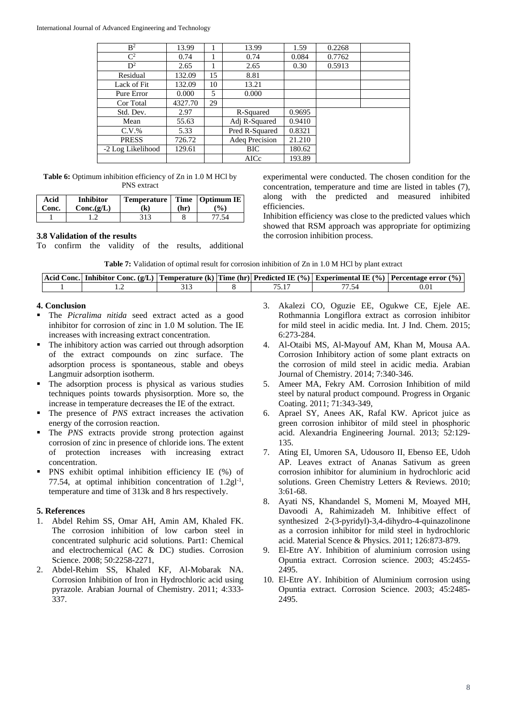#### International Journal of Advanced Engineering and Technology

| B <sup>2</sup>    | 13.99   |    | 13.99          | 1.59   | 0.2268 |  |
|-------------------|---------|----|----------------|--------|--------|--|
| $\mathbf{C}^2$    | 0.74    |    | 0.74           | 0.084  | 0.7762 |  |
| $D^2$             | 2.65    |    | 2.65           | 0.30   | 0.5913 |  |
| Residual          | 132.09  | 15 | 8.81           |        |        |  |
| Lack of Fit       | 132.09  | 10 | 13.21          |        |        |  |
| Pure Error        | 0.000   | 5  | 0.000          |        |        |  |
| Cor Total         | 4327.70 | 29 |                |        |        |  |
| Std. Dev.         | 2.97    |    | R-Squared      | 0.9695 |        |  |
| Mean              | 55.63   |    | Adj R-Squared  | 0.9410 |        |  |
| $C.V.$ %          | 5.33    |    | Pred R-Squared | 0.8321 |        |  |
| <b>PRESS</b>      | 726.72  |    | Adeq Precision | 21.210 |        |  |
| -2 Log Likelihood | 129.61  |    | <b>BIC</b>     | 180.62 |        |  |
|                   |         |    | AICc           | 193.89 |        |  |

**Table 6:** Optimum inhibition efficiency of Zn in 1.0 M HCl by PNS extract

| Acid<br>Conc. | <b>Inhibitor</b><br>$Conc.(\mathbf{g}/\mathbf{L})$ | Temperature   Time   Optimum IE  <br>(k) | (hr) | $\mathcal{O}_0$ |
|---------------|----------------------------------------------------|------------------------------------------|------|-----------------|
|               |                                                    | 313                                      |      | 77.54           |

#### **3.8 Validation of the results**

To confirm the validity of the results, additional

experimental were conducted. The chosen condition for the concentration, temperature and time are listed in tables (7), along with the predicted and measured inhibited efficiencies.

Inhibition efficiency was close to the predicted values which showed that RSM approach was appropriate for optimizing the corrosion inhibition process.

| <b>Table 7:</b> Validation of optimal result for corrosion inhibition of Zn in 1.0 M HCl by plant extract |
|-----------------------------------------------------------------------------------------------------------|
|-----------------------------------------------------------------------------------------------------------|

|  |  |  | Acid Conc.   Inhibitor Conc. (g/L)   Temperature (k)   Time (hr)   Predicted IE (%)   Experimental IE (%)   Percentage error (%) |
|--|--|--|----------------------------------------------------------------------------------------------------------------------------------|
|  |  |  |                                                                                                                                  |

# **4. Conclusion**

- The *Picralima nitida* seed extract acted as a good inhibitor for corrosion of zinc in 1.0 M solution. The IE increases with increasing extract concentration.
- The inhibitory action was carried out through adsorption of the extract compounds on zinc surface. The adsorption process is spontaneous, stable and obeys Langmuir adsorption isotherm.
- The adsorption process is physical as various studies techniques points towards physisorption. More so, the increase in temperature decreases the IE of the extract.
- The presence of *PNS* extract increases the activation energy of the corrosion reaction.
- The *PNS* extracts provide strong protection against corrosion of zinc in presence of chloride ions. The extent of protection increases with increasing extract concentration.
- PNS exhibit optimal inhibition efficiency IE (%) of 77.54, at optimal inhibition concentration of 1.2gl<sup>-1</sup>, temperature and time of 313k and 8 hrs respectively.

### **5. References**

- 1. Abdel Rehim SS, Omar AH, Amin AM, Khaled FK. The corrosion inhibition of low carbon steel in concentrated sulphuric acid solutions. Part1: Chemical and electrochemical (AC & DC) studies. Corrosion Science. 2008; 50:2258-2271,
- 2. Abdel-Rehim SS, Khaled KF, Al-Mobarak NA. Corrosion Inhibition of Iron in Hydrochloric acid using pyrazole. Arabian Journal of Chemistry. 2011; 4:333- 337.
- 3. Akalezi CO, Oguzie EE, Ogukwe CE, Ejele AE. Rothmannia Longiflora extract as corrosion inhibitor for mild steel in acidic media. Int. J Ind. Chem. 2015; 6:273-284.
- 4. Al-Otaibi MS, Al-Mayouf AM, Khan M, Mousa AA. Corrosion Inhibitory action of some plant extracts on the corrosion of mild steel in acidic media. Arabian Journal of Chemistry. 2014; 7:340-346.
- 5. Ameer MA, Fekry AM. Corrosion Inhibition of mild steel by natural product compound. Progress in Organic Coating. 2011; 71:343-349,
- 6. Aprael SY, Anees AK, Rafal KW. Apricot juice as green corrosion inhibitor of mild steel in phosphoric acid. Alexandria Engineering Journal. 2013; 52:129- 135.
- 7. Ating EI, Umoren SA, Udousoro II, Ebenso EE, Udoh AP. Leaves extract of Ananas Sativum as green corrosion inhibitor for aluminium in hydrochloric acid solutions. Green Chemistry Letters & Reviews. 2010; 3:61-68.
- 8. Ayati NS, Khandandel S, Momeni M, Moayed MH, Davoodi A, Rahimizadeh M. Inhibitive effect of synthesized 2-(3-pyridyl)-3,4-dihydro-4-quinazolinone as a corrosion inhibitor for mild steel in hydrochloric acid. Material Scence & Physics. 2011; 126:873-879.
- 9. El-Etre AY. Inhibition of aluminium corrosion using Opuntia extract. Corrosion science. 2003; 45:2455- 2495.
- 10. El-Etre AY. Inhibition of Aluminium corrosion using Opuntia extract. Corrosion Science. 2003; 45:2485- 2495.